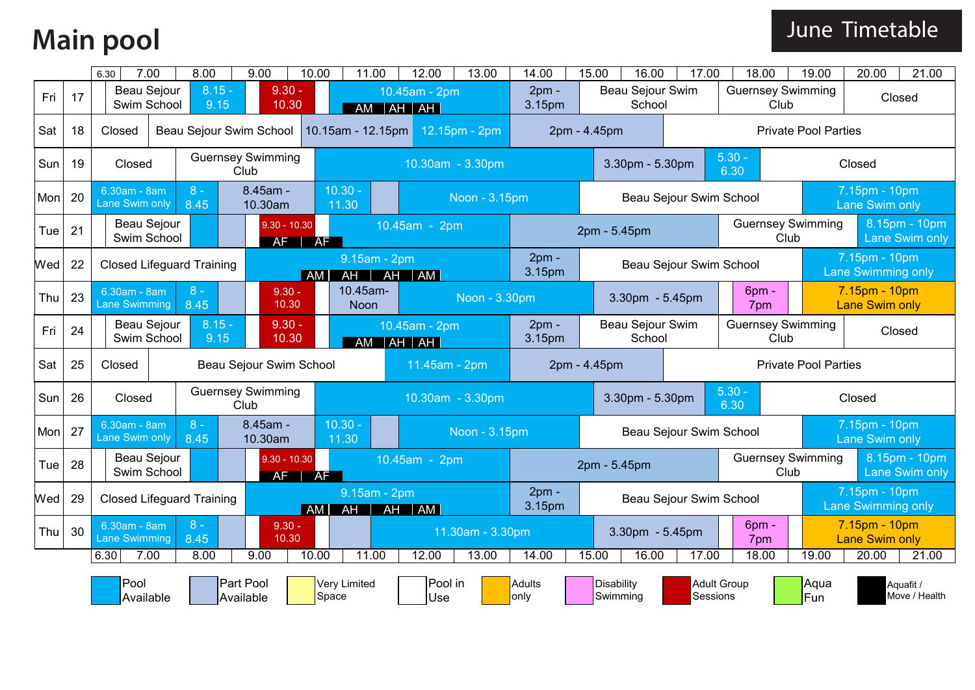### **Main pool**

|     |                   | 7.00<br>6.30                                          |  | 8.00                             | 9.00                             | 10.00                                    | 11.00                    | 12.00                           | 13.00            | 14.00                                           | 15.00                               |                 | 16.00                          | 17.00                   | 18.00                    |             | 19.00                                                       | 20.00                                  | 21.00                                  |  |
|-----|-------------------|-------------------------------------------------------|--|----------------------------------|----------------------------------|------------------------------------------|--------------------------|---------------------------------|------------------|-------------------------------------------------|-------------------------------------|-----------------|--------------------------------|-------------------------|--------------------------|-------------|-------------------------------------------------------------|----------------------------------------|----------------------------------------|--|
| Fri | 17                | Beau Sejour<br>Swim School                            |  | $8.15 -$<br>9.15                 | $9.30 -$<br>10.30                |                                          |                          | 10.45am - 2pm<br>AM   AH   AH   |                  | $2pm -$<br>3.15pm                               |                                     |                 | Beau Sejour Swim<br>School     |                         | <b>Guernsey Swimming</b> | Club        |                                                             | Closed                                 |                                        |  |
| Sat | 18                | Closed                                                |  |                                  | Beau Sejour Swim School          |                                          |                          | 10.15am - 12.15pm 12.15pm - 2pm |                  |                                                 |                                     | 2pm - 4.45pm    |                                |                         |                          |             | <b>Private Pool Parties</b>                                 |                                        |                                        |  |
| Sun | 19                | Closed                                                |  |                                  | <b>Guernsey Swimming</b><br>Club |                                          |                          |                                 | 10.30am - 3.30pm |                                                 |                                     |                 | 3.30pm - 5.30pm                |                         | $5.30 -$<br>6.30         |             |                                                             | Closed                                 |                                        |  |
| Mon | 20                | 6.30am - 8am<br>Lane Swim only                        |  | $8 -$<br>8.45                    | 8.45am -<br>10.30am              |                                          | $10.30 -$<br>11.30       |                                 | Noon - 3.15pm    |                                                 |                                     |                 |                                | Beau Sejour Swim School |                          |             |                                                             | 7.15pm - 10pm<br>Lane Swim only        |                                        |  |
| Tue | 21                | Beau Sejour<br>Swim School                            |  |                                  | $9.30 - 10.30$<br>AF             | AF                                       |                          | 10.45am - 2pm                   |                  |                                                 |                                     | 2pm - 5.45pm    |                                |                         | <b>Guernsey Swimming</b> | Club        |                                                             |                                        | 8.15pm - 10pm<br><b>Lane Swim only</b> |  |
| Wed | 22                |                                                       |  | <b>Closed Lifeguard Training</b> |                                  | AM                                       | 9.15am - 2pm<br>AH       | AH AM                           |                  | $2pm -$<br>3.15pm                               |                                     |                 |                                | Beau Sejour Swim School |                          |             | 7.15pm - 10pm<br><b>Lane Swimming only</b><br>7.15pm - 10pm |                                        |                                        |  |
| Thu | 23                | 6.30am - 8am<br><b>Lane Swimming</b>                  |  | $8 -$<br>8.45                    | $9.30 -$<br>10.30                |                                          | 10.45am-<br>Noon         |                                 | Noon - 3.30pm    |                                                 |                                     | 3.30pm - 5.45pm |                                |                         | 6pm -<br>7pm             |             |                                                             | <b>Lane Swim only</b>                  |                                        |  |
| Fri | 24                | <b>Beau Sejour</b><br>Swim School                     |  | $8.15 -$<br>9.15                 | $9.30 -$<br>10.30                |                                          |                          | 10.45am - 2pm<br>AM   AH   AH   |                  | $2pm -$<br>3.15pm                               |                                     |                 | Beau Sejour Swim<br>School     |                         | <b>Guernsey Swimming</b> | Club        |                                                             | Closed                                 |                                        |  |
| Sat | 25                | Closed                                                |  |                                  |                                  | Beau Sejour Swim School<br>11.45am - 2pm |                          |                                 |                  |                                                 |                                     | 2pm - 4.45pm    |                                |                         |                          |             | <b>Private Pool Parties</b>                                 |                                        |                                        |  |
| Sun | 26                | Closed                                                |  |                                  | <b>Guernsey Swimming</b><br>Club |                                          |                          | 10.30am - 3.30pm                |                  |                                                 | $5.30 -$<br>3.30pm - 5.30pm<br>6.30 |                 |                                |                         |                          |             | Closed                                                      |                                        |                                        |  |
| Mon | 27                | 6.30am - 8am<br>Lane Swim only                        |  | $8 -$<br>8.45                    | 8.45am -<br>10.30am              |                                          | $10.30 -$<br>11.30       |                                 | Noon - 3.15pm    |                                                 |                                     |                 |                                | Beau Sejour Swim School |                          |             |                                                             | 7.15pm - 10pm<br>Lane Swim only        |                                        |  |
| Tue | 28                | Beau Sejour<br>Swim School                            |  |                                  | $9.30 - 10.30$<br>AF             | AF                                       |                          | 10.45am - 2pm                   |                  |                                                 |                                     | 2pm - 5.45pm    |                                |                         | <b>Guernsey Swimming</b> | Club        |                                                             |                                        | 8.15pm - 10pm<br><b>Lane Swim only</b> |  |
| Wed | 29                |                                                       |  | <b>Closed Lifeguard Training</b> |                                  | AMI                                      | 9.15am - 2pm<br>AH<br>AH | $\overline{\mathsf{AM}}$        |                  | $2pm -$<br>3.15pm                               |                                     |                 |                                | Beau Sejour Swim School |                          |             |                                                             | 7.15pm - 10pm<br>Lane Swimming only    |                                        |  |
| Thu | 30                | $8 -$<br>6.30am - 8am<br><b>Lane Swimming</b><br>8.45 |  |                                  | $9.30 -$<br>10.30                |                                          | 11.30am - 3.30pm         |                                 |                  |                                                 |                                     |                 | 3.30pm - 5.45pm                |                         | 6pm -<br>7pm             |             |                                                             | 7.15pm - 10pm<br><b>Lane Swim only</b> |                                        |  |
|     |                   | 6.30<br>7.00                                          |  | 8.00                             | 9.00                             | 10.00                                    | 11.00                    | 12.00                           | 13.00            | 14.00                                           | 15.00                               |                 | 16.00                          | 17.00                   | 18.00                    |             | 19.00                                                       | 20.00                                  | 21.00                                  |  |
|     | Pool<br>Available |                                                       |  |                                  | <b>Part Pool</b><br>Available    | Space                                    | Very Limited             | Pool in<br>Use                  |                  | <b>Disability</b><br>Adults<br>only<br>Swimming |                                     |                 | <b>Adult Group</b><br>Sessions |                         |                          | Aqua<br>Fun |                                                             | Aquafit /<br>Move / Health             |                                        |  |

#### June Timetable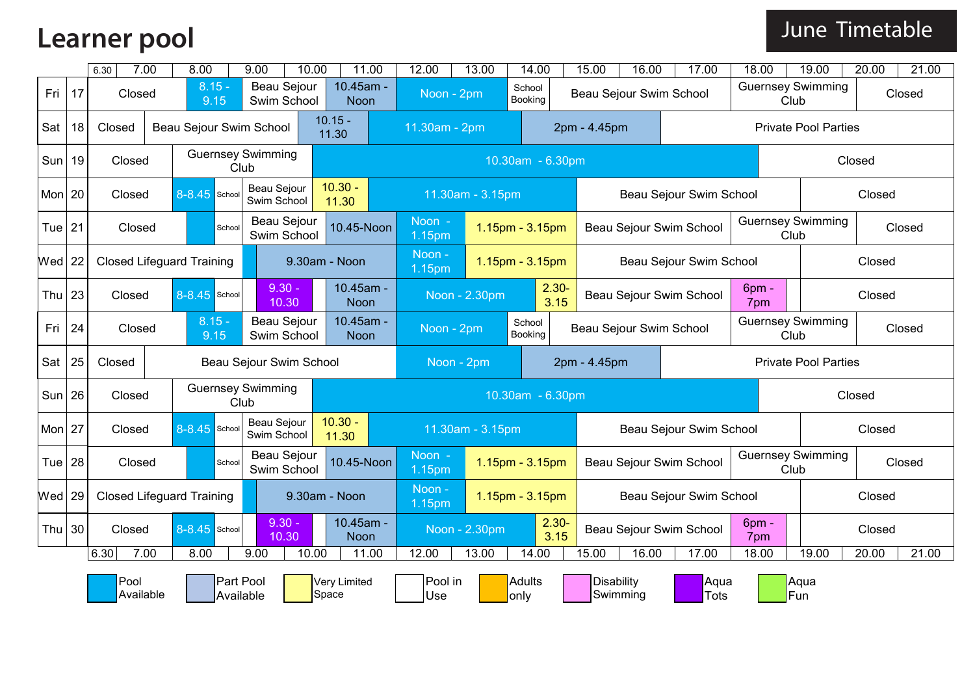### **Learner pool**

|          |                   | 6.30                             | 7.00 | 8.00                |                        | 9.00                              | 10.00                                           |                          | 11.00            | 12.00                                   | 13.00            |                  | 14.00             | 15.00        | 16.00                         | 17.00                   | 18.00                       |             | 19.00                       | 20.00                                                              | 21.00  |  |
|----------|-------------------|----------------------------------|------|---------------------|------------------------|-----------------------------------|-------------------------------------------------|--------------------------|------------------|-----------------------------------------|------------------|------------------|-------------------|--------------|-------------------------------|-------------------------|-----------------------------|-------------|-----------------------------|--------------------------------------------------------------------|--------|--|
| Fri 17   |                   | Closed                           |      |                     | $8.15 -$<br>9.15       | <b>Beau Sejour</b><br>Swim School |                                                 | 10.45am -<br>Noon        |                  | Noon - 2pm                              |                  |                  | School<br>Booking |              |                               | Beau Sejour Swim School | <b>Guernsey Swimming</b>    | Club        |                             |                                                                    | Closed |  |
| Sat      | 18                | Closed                           |      |                     |                        | Beau Sejour Swim School           |                                                 | $10.15 -$<br>11.30       |                  | 11.30am - 2pm                           |                  |                  |                   | 2pm - 4.45pm |                               |                         |                             |             | <b>Private Pool Parties</b> | Closed<br>Closed<br>Closed<br>Closed<br>Closed<br>Closed<br>Closed |        |  |
| Sun   19 |                   | Closed                           |      |                     |                        | <b>Guernsey Swimming</b><br>Club  |                                                 |                          |                  |                                         |                  |                  | 10.30am - 6.30pm  |              |                               |                         |                             |             |                             |                                                                    |        |  |
| Mon $20$ |                   | Closed                           |      | $8 - 8.45$<br>Schoo |                        | Beau Sejour<br>Swim School        |                                                 | $10.30 -$<br>11.30       |                  |                                         | 11.30am - 3.15pm |                  |                   |              |                               | Beau Sejour Swim School |                             |             |                             |                                                                    |        |  |
| Tue $21$ |                   | Closed                           |      |                     | School                 | Beau Sejour<br>Swim School        |                                                 | 10.45-Noon               |                  | $Noon -$<br>$1.15pm - 3.15pm$<br>1.15pm |                  |                  |                   |              | Beau Sejour Swim School       |                         |                             |             | <b>Guernsey Swimming</b>    |                                                                    |        |  |
| $Wed$ 22 |                   | <b>Closed Lifeguard Training</b> |      |                     |                        |                                   | 9.30am - Noon                                   |                          | Noon -<br>1.15pm |                                         |                  | 1.15pm - 3.15pm  |                   |              | Beau Sejour Swim School       |                         |                             |             |                             |                                                                    |        |  |
| Thu      | 23                | 8-8.45 School<br>Closed          |      |                     |                        | $9.30 -$<br>10.30                 |                                                 | 10.45am -<br><b>Noon</b> |                  |                                         | Noon - 2.30pm    | $2.30 -$<br>3.15 |                   |              |                               | Beau Sejour Swim School | 6pm -<br>7pm                |             |                             |                                                                    |        |  |
| Fri      | 24                | $8.15 -$<br>Closed<br>9.15       |      |                     |                        |                                   | Beau Sejour<br>10.45am -<br>Swim School<br>Noon |                          |                  | Noon - 2pm                              |                  |                  | School<br>Booking |              |                               | Beau Sejour Swim School | <b>Guernsey Swimming</b>    | Club        |                             |                                                                    |        |  |
| Sat      | 25                | Closed                           |      |                     |                        | Beau Sejour Swim School           |                                                 |                          |                  | Noon - 2pm                              |                  | 2pm - 4.45pm     |                   |              |                               |                         | <b>Private Pool Parties</b> | Closed      |                             |                                                                    |        |  |
| $Sun$ 26 |                   | Closed                           |      |                     |                        | <b>Guernsey Swimming</b><br>Club  |                                                 |                          |                  |                                         |                  | 10.30am - 6.30pm |                   |              |                               |                         |                             |             |                             | Closed<br>21.00                                                    |        |  |
| Mon 27   |                   | Closed                           |      | 8-8.45 School       |                        | Beau Sejour<br>Swim School        |                                                 | $10.30 -$<br>11.30       |                  |                                         | 11.30am - 3.15pm |                  |                   |              |                               | Beau Sejour Swim School |                             |             |                             |                                                                    |        |  |
| Tue !    | 28                | Closed                           |      |                     | School                 | Beau Sejour<br>Swim School        |                                                 | 10.45-Noon               |                  | Noon -<br>1.15pm                        |                  |                  | 1.15pm - 3.15pm   |              |                               | Beau Sejour Swim School | <b>Guernsey Swimming</b>    | Club        |                             |                                                                    |        |  |
| $Wed$ 29 |                   | <b>Closed Lifeguard Training</b> |      |                     |                        |                                   |                                                 | 9.30am - Noon            |                  | Noon -<br>1.15pm                        |                  |                  | 1.15pm - 3.15pm   |              |                               | Beau Sejour Swim School |                             |             |                             | Closed                                                             |        |  |
| Thu $30$ |                   | 8-8.45 School<br>Closed          |      |                     | $9.30 -$<br>10.30      |                                   |                                                 | 10.45am -<br>Noon        |                  | Noon - 2.30pm                           |                  | $2.30 -$<br>3.15 |                   |              | Beau Sejour Swim School       | 6pm -<br>7pm            |                             |             | Closed                      |                                                                    |        |  |
|          |                   | 6.30                             | 7.00 | 8.00                |                        | 9.00                              | 10.00                                           |                          | 11.00            | 12.00                                   | 13.00            |                  | 14.00             | 15.00        | 16.00                         | 17.00                   | 18.00                       |             | 19.00                       | 20.00                                                              |        |  |
|          | Pool<br>Available |                                  |      |                     | Part Pool<br>Available |                                   |                                                 | Very Limited<br>Space    |                  | Pool in<br>Use                          |                  | only             | Adults            |              | <b>Disability</b><br>Swimming | Aqua<br>Tots            |                             | Aqua<br>Fun |                             |                                                                    |        |  |

#### June Timetable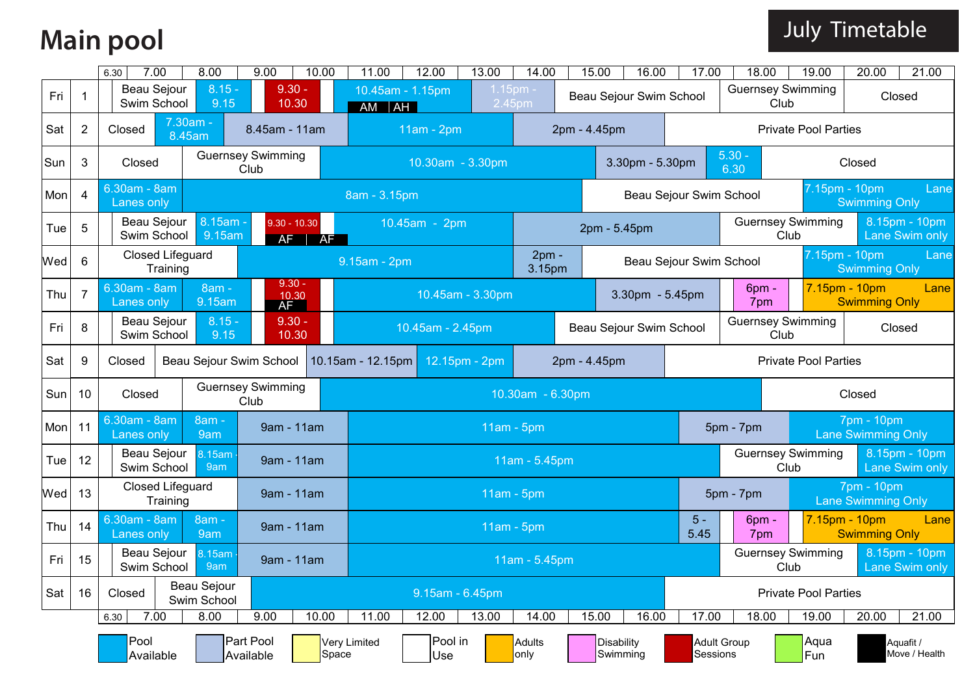# **Main pool**

|     |                | 7.00<br>6.30                                | 8.00                                 | 9.00                             | 10.00            | 11.00                       | 12.00                  | 13.00         | 14.00                |                               | 15.00        | 16.00                                                                                             | 17.00                                         | 18.00                                 |                                                                                     | 19.00          | 20.00                                   | 21.00              |
|-----|----------------|---------------------------------------------|--------------------------------------|----------------------------------|------------------|-----------------------------|------------------------|---------------|----------------------|-------------------------------|--------------|---------------------------------------------------------------------------------------------------|-----------------------------------------------|---------------------------------------|-------------------------------------------------------------------------------------|----------------|-----------------------------------------|--------------------|
| Fri | 1              | <b>Beau Sejour</b><br>Swim School           | $8.15 -$<br>9.15                     | $9.30 -$<br>10.30                |                  | 10.45am - 1.15pm<br>AM   AH |                        |               | $1.15pm$ -<br>2.45pm |                               |              | Beau Sejour Swim School                                                                           |                                               | <b>Guernsey Swimming</b>              | Club                                                                                |                | Closed                                  |                    |
| Sat | $\overline{2}$ | Closed                                      | 7.30am -<br>8.45am                   | 8.45am - 11am                    |                  |                             | $11am - 2pm$           |               |                      |                               | 2pm - 4.45pm |                                                                                                   |                                               |                                       | <b>Private Pool Parties</b>                                                         |                |                                         |                    |
| Sun | 3              | Closed                                      |                                      | <b>Guernsey Swimming</b><br>Club |                  |                             | $10.30$ am - $3.30$ pm |               |                      |                               |              | 3.30pm - 5.30pm                                                                                   |                                               | $5.30 -$<br>6.30                      |                                                                                     |                | Closed                                  |                    |
| Mon | $\overline{4}$ | 6.30am - 8am<br>Lanes only                  |                                      |                                  |                  | 8am - 3.15pm                |                        |               |                      |                               |              |                                                                                                   | Beau Sejour Swim School                       |                                       |                                                                                     | 7.15pm - 10pm  | <b>Swimming Only</b>                    | Lane               |
| Tue | 5              | Beau Sejour<br>Swim School                  | 8.15am -<br>9.15am                   | $9.30 - 10.30$                   | $AF$ $AF$        |                             | 10.45am - 2pm          |               |                      | 2pm - 5.45pm                  |              |                                                                                                   |                                               | <b>Guernsey Swimming</b><br>Club      |                                                                                     |                | 8.15pm - 10pm<br>Lane Swim only         |                    |
| Wed | 6              | <b>Closed Lifeguard</b><br>Training         |                                      |                                  | 9.15am - 2pm     |                             |                        |               |                      |                               |              |                                                                                                   | Beau Sejour Swim School                       | 7.15pm - 10pm<br><b>Swimming Only</b> |                                                                                     |                |                                         | Lane               |
| Thu | $\overline{7}$ | 6.30am - 8am<br>Lanes only                  | $9.30 -$<br>10.30<br>AF <sup>1</sup> |                                  | 10.45am - 3.30pm |                             |                        |               | 3.30pm - 5.45pm      |                               | 6pm -<br>7pm |                                                                                                   | 7.15pm - 10pm<br>Lane<br><b>Swimming Only</b> |                                       |                                                                                     |                |                                         |                    |
| Fri | 8              | Beau Sejour<br>Swim School                  | $8.15 -$<br>9.15                     | $9.30 -$<br>10.30                |                  |                             | 10.45am - 2.45pm       |               |                      |                               |              | Beau Sejour Swim School                                                                           |                                               |                                       |                                                                                     |                |                                         |                    |
| Sat | 9              | Closed                                      | Beau Sejour Swim School              |                                  |                  | 10.15am - 12.15pm           |                        | 12.15pm - 2pm |                      |                               | 2pm - 4.45pm |                                                                                                   |                                               |                                       | <b>Guernsey Swimming</b><br>Closed<br>Club<br><b>Private Pool Parties</b><br>Closed |                |                                         |                    |
| Sun | 10             | Closed                                      |                                      | <b>Guernsey Swimming</b><br>Club |                  |                             | 10.30am - 6.30pm       |               |                      |                               |              |                                                                                                   |                                               |                                       |                                                                                     |                |                                         |                    |
| Mon | 11             | $6.30am - 8am$<br>Lanes only                | 8am -<br>9am                         | 9am - 11am                       |                  |                             | $11am - 5pm$           |               |                      |                               |              | 7pm - 10pm<br>5pm - 7pm<br><b>Lane Swimming Only</b><br><b>Guernsey Swimming</b><br>8.15pm - 10pm |                                               |                                       |                                                                                     |                |                                         |                    |
| Tue | 12             | Beau Sejour<br>Swim School                  | 8.15am<br>9am                        | 9am - 11am                       |                  |                             | 11am - 5.45pm          |               |                      |                               |              |                                                                                                   | Club                                          |                                       |                                                                                     | Lane Swim only |                                         |                    |
| Wed | 13             | <b>Closed Lifeguard</b><br>Training         |                                      | 9am - 11am                       |                  |                             |                        |               | $11am - 5pm$         |                               |              |                                                                                                   |                                               | 5pm - 7pm                             |                                                                                     |                | 7pm - 10pm<br><b>Lane Swimming Only</b> |                    |
| Thu | 14             | 30am - 8am<br>Lanes only                    | 8am -<br>9am                         | 9am - 11am                       |                  |                             |                        |               | $11am - 5pm$         |                               |              |                                                                                                   | $5 -$<br>5.45                                 | 6pm -<br>7pm                          |                                                                                     | 7.15pm - 10pm  | <b>Swimming Only</b>                    | Lane               |
| Fri | 15             | Beau Sejour<br>Swim School                  | 9am - 11am                           |                                  |                  |                             |                        | 11am - 5.45pm |                      |                               |              |                                                                                                   |                                               | <b>Guernsey Swimming</b><br>Club      |                                                                                     |                | 8.15pm - 10pm<br>Lane Swim only         |                    |
| Sat | 16             | <b>Beau Sejour</b><br>Closed<br>Swim School |                                      |                                  | 9.15am - 6.45pm  |                             |                        |               |                      |                               |              |                                                                                                   |                                               | <b>Private Pool Parties</b>           |                                                                                     |                |                                         |                    |
|     |                | 7.00<br>6.30                                | 8.00                                 | 9.00                             | 10.00            | 11.00                       | 12.00                  | 13.00         | 14.00                |                               | 15.00        | 16.00                                                                                             | 17.00                                         | 18.00                                 |                                                                                     | 19.00          | 20.00                                   | $\overline{2}1.00$ |
|     |                | Pool<br>Available                           |                                      | <b>Part Pool</b><br>Available    | Space            | Very Limited                | Pool in<br>Use         |               | Adults<br>only       | <b>Disability</b><br>Swimming |              | Sessions                                                                                          | <b>Adult Group</b>                            |                                       | Aqua<br>Fun                                                                         |                | Aquafit /<br>Move / Health              |                    |

#### July Timetable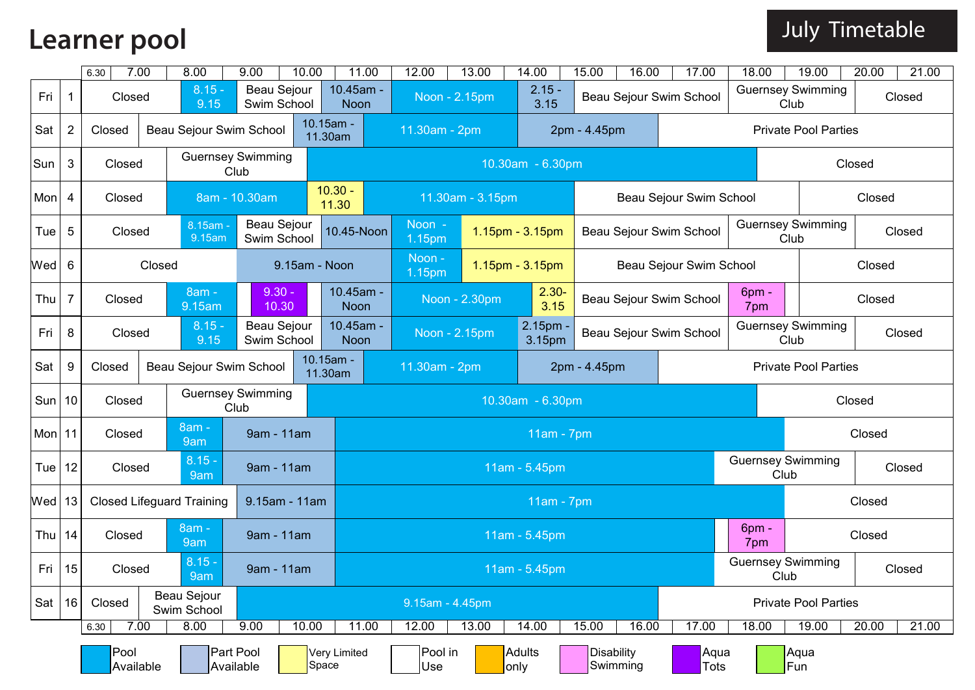## **Learner pool**

|  | Uuly Timetable |
|--|----------------|
|--|----------------|

|          |                   | 6.30                                 | 7.00                    | 8.00                    | 9.00                             | 10.00                | 11.00                         | 12.00                               | 13.00            |                | 14.00            | 15.00              | 16.00    | 17.00                   | 18.00                       | 19.00                            | 20.00                                      | 21.00  |  |
|----------|-------------------|--------------------------------------|-------------------------|-------------------------|----------------------------------|----------------------|-------------------------------|-------------------------------------|------------------|----------------|------------------|--------------------|----------|-------------------------|-----------------------------|----------------------------------|--------------------------------------------|--------|--|
| Fri      | $\mathbf 1$       | Closed                               |                         | $8.15 -$<br>9.15        | Beau Sejour<br>Swim School       |                      | 10.45am -<br><b>Noon</b>      |                                     | Noon - 2.15pm    |                | $2.15 -$<br>3.15 |                    |          | Beau Sejour Swim School |                             | <b>Guernsey Swimming</b><br>Club |                                            | Closed |  |
| Sat      | $\overline{2}$    | Closed                               |                         | Beau Sejour Swim School |                                  |                      | 10.15am -<br>11.30am          | 11.30am - 2pm                       |                  |                |                  | 2pm - 4.45pm       |          |                         |                             | <b>Private Pool Parties</b>      |                                            |        |  |
| Sun      | 3                 | Closed                               |                         |                         | <b>Guernsey Swimming</b><br>Club |                      |                               |                                     |                  |                | 10.30am - 6.30pm |                    |          |                         |                             |                                  | Closed                                     |        |  |
| Mon      | 4                 | Closed                               |                         |                         | 8am - 10.30am                    |                      | $10.30 -$<br>11.30            |                                     | 11.30am - 3.15pm |                |                  |                    |          | Beau Sejour Swim School |                             |                                  | Closed                                     |        |  |
| Tue      | 5                 | 8.15am -<br>Closed<br>9.15am         |                         |                         | Beau Sejour<br>Swim School       |                      | 10.45-Noon                    | Noon -<br>1.15pm - 3.15pm<br>1.15pm |                  |                |                  |                    |          | Beau Sejour Swim School |                             | <b>Guernsey Swimming</b><br>Club |                                            | Closed |  |
| Wed      | 6                 | Closed                               |                         |                         |                                  |                      | 9.15am - Noon                 | Noon -<br>1.15pm - 3.15pm<br>1.15pm |                  |                |                  |                    |          | Beau Sejour Swim School |                             |                                  | Closed                                     |        |  |
| Thu      | $\overline{7}$    | 8am -<br>Closed<br>9.15am            |                         |                         | $9.30 -$<br>10.30                |                      | 10.45am -<br><b>Noon</b>      |                                     | Noon - 2.30pm    |                | $2.30 -$<br>3.15 |                    |          | Beau Sejour Swim School | 6 <sub>pm</sub><br>7pm      |                                  | Closed                                     |        |  |
| Fri      | 8                 | $8.15 -$<br>Closed<br>9.15           |                         |                         | Beau Sejour<br>Swim School       |                      | 10.45am -<br><b>Noon</b>      |                                     | Noon - 2.15pm    |                |                  | 2.15pm -<br>3.15pm |          | Beau Sejour Swim School |                             | <b>Guernsey Swimming</b><br>Club | Closed                                     |        |  |
| Sat      | 9                 | Closed                               | Beau Sejour Swim School |                         |                                  | 10.15am -<br>11.30am | 11.30am - 2pm<br>2pm - 4.45pm |                                     |                  |                |                  |                    |          |                         | <b>Private Pool Parties</b> |                                  |                                            |        |  |
| Sun      | 10                | Closed                               |                         |                         | <b>Guernsey Swimming</b><br>Club |                      |                               |                                     |                  |                | 10.30am - 6.30pm |                    |          |                         |                             |                                  | Closed                                     |        |  |
| Mon $11$ |                   | Closed                               |                         | 8am -<br>9am            | 9am - 11am                       |                      |                               | $11am - 7pm$                        |                  |                |                  |                    |          |                         |                             |                                  | Closed                                     |        |  |
| Tue      | 12                | Closed                               |                         | $8.15 -$<br>9am         | 9am - 11am                       |                      |                               | 11am - 5.45pm                       |                  |                |                  |                    |          |                         |                             |                                  | <b>Guernsey Swimming</b><br>Closed<br>Club |        |  |
| $Wed$ 13 |                   | <b>Closed Lifeguard Training</b>     |                         |                         | 9.15am - 11am                    |                      |                               | 11am - 7pm                          |                  |                |                  |                    |          |                         |                             |                                  | Closed                                     |        |  |
| Thu      | 14                | 8am -<br>Closed<br>9am               |                         |                         | 9am - 11am                       |                      |                               |                                     |                  |                | 11am - 5.45pm    |                    |          |                         | 6 <sub>pm</sub><br>7pm      |                                  | Closed                                     |        |  |
| Fri      | 15                | $8.15 -$<br>Closed<br>9am            |                         |                         | 9am - 11am                       |                      |                               |                                     |                  |                | 11am - 5.45pm    |                    |          |                         |                             | <b>Guernsey Swimming</b><br>Club |                                            | Closed |  |
| Sat $16$ |                   | Beau Sejour<br>Closed<br>Swim School |                         |                         |                                  |                      |                               | 9.15am - 4.45pm                     |                  |                |                  |                    |          |                         | <b>Private Pool Parties</b> |                                  |                                            |        |  |
|          |                   | 6.30                                 | 7.00                    | 8.00                    | 9.00                             | 10.00                | 11.00                         | 12.00                               | 13.00            |                | 14.00            | 15.00              | 16.00    | 17.00                   | 18.00                       | 19.00                            | 20.00                                      | 21.00  |  |
|          | Pool<br>Available |                                      |                         |                         | Part Pool<br>Available           |                      | Very Limited<br>Space         | Pool in<br>Use                      |                  | Adults<br>only |                  | Disability         | Swimming | Aqua<br>Tots            |                             | Aqua<br>Fun                      |                                            |        |  |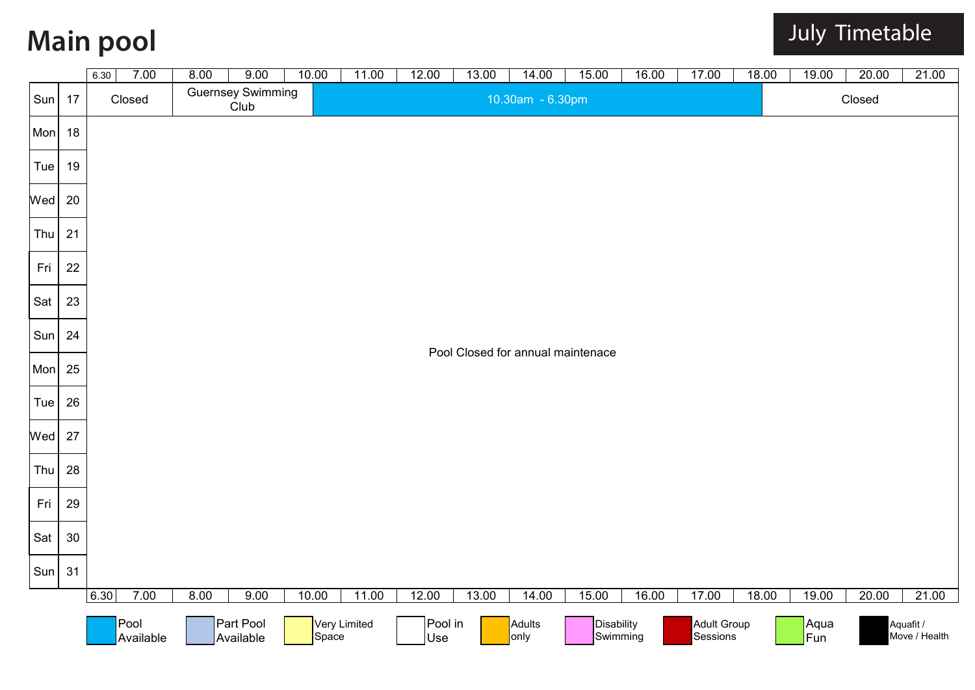# **Main pool**

|            |        | 7.00<br>6.30      | 8.00 | 9.00                             | 10.00 | 11.00        | 12.00          | 13.00 | 14.00            | 15.00                             | 16.00 | 17.00                          | 18.00 | 19.00       | 20.00  | 21.00                      |
|------------|--------|-------------------|------|----------------------------------|-------|--------------|----------------|-------|------------------|-----------------------------------|-------|--------------------------------|-------|-------------|--------|----------------------------|
| Sun        | 17     | Closed            |      | <b>Guernsey Swimming</b><br>Club |       |              |                |       | 10.30am - 6.30pm |                                   |       |                                |       |             | Closed |                            |
| <b>Mon</b> | 18     |                   |      |                                  |       |              |                |       |                  |                                   |       |                                |       |             |        |                            |
| Tue        | 19     |                   |      |                                  |       |              |                |       |                  |                                   |       |                                |       |             |        |                            |
| Wed        | 20     |                   |      |                                  |       |              |                |       |                  |                                   |       |                                |       |             |        |                            |
| Thu        | 21     |                   |      |                                  |       |              |                |       |                  |                                   |       |                                |       |             |        |                            |
| Fri        | 22     |                   |      |                                  |       |              |                |       |                  |                                   |       |                                |       |             |        |                            |
| Sat        | 23     |                   |      |                                  |       |              |                |       |                  |                                   |       |                                |       |             |        |                            |
| Sun        | 24     |                   |      |                                  |       |              |                |       |                  | Pool Closed for annual maintenace |       |                                |       |             |        |                            |
| Mon        | 25     |                   |      |                                  |       |              |                |       |                  |                                   |       |                                |       |             |        |                            |
| Tue        | 26     |                   |      |                                  |       |              |                |       |                  |                                   |       |                                |       |             |        |                            |
| Wed        | 27     |                   |      |                                  |       |              |                |       |                  |                                   |       |                                |       |             |        |                            |
| Thu        | 28     |                   |      |                                  |       |              |                |       |                  |                                   |       |                                |       |             |        |                            |
| Fri        | 29     |                   |      |                                  |       |              |                |       |                  |                                   |       |                                |       |             |        |                            |
| Sat        | $30\,$ |                   |      |                                  |       |              |                |       |                  |                                   |       |                                |       |             |        |                            |
| Sun        | 31     |                   |      |                                  |       |              |                |       |                  |                                   |       |                                |       |             |        |                            |
|            |        | 6.30<br>7.00      | 8.00 | 9.00                             | 10.00 | 11.00        | 12.00          | 13.00 | 14.00            | 15.00                             | 16.00 | 17.00                          | 18.00 | 19.00       | 20.00  | 21.00                      |
|            |        | Pool<br>Available |      | Part Pool<br>Available           | Space | Very Limited | Pool in<br>Use |       | Adults<br>only   | Disability<br>Swimming            |       | <b>Adult Group</b><br>Sessions |       | Aqua<br>Fun |        | Aquafit /<br>Move / Health |

#### July Timetable